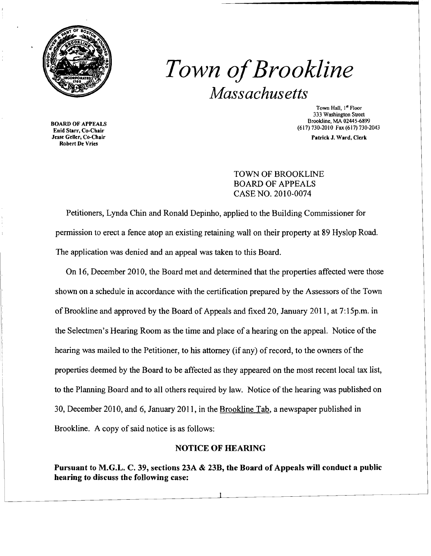

## *Town ofBrookline Massachusetts*

BOARD OF APPEALS Enid Starr, Co-Chair Robert De Vries

Town Hall, 1st Floor 333 Washington Street Brookline, MA 02445·6899 (617) 730-2010 Fax (617) 730-2043

Patrick J. Ward, Clerk

TOWN OF BROOKLINE BOARD OF APPEALS CASE NO. 2010-0074

Petitioners, Lynda Chin and Ronald Depinho, applied to the Building Commissioner for permission to erect a fence atop an existing retaining wall on their property at 89 Hyslop Road. The application was denied and an appeal was taken to this Board.

On 16, December 2010, the Board met and determined that the properties affected were those shown on a schedule in accordance with the certification prepared by the Assessors of the Town of Brookline and approved by the Board of Appeals and fixed 20, January 2011, at 7:15p.m. in the Selectmen's Hearing Room as the time and place of a hearing on the appeal. Notice of the hearing was mailed to the Petitioner, to his attorney (if any) of record, to the owners of the properties deemed by the Board to be affected as they appeared on the most recent local tax list, to the Planning Board and to all others required by law. Notice of the hearing was published on 30, December 2010, and 6, January 2011, in the Brookline Tab, a newspaper published in Brookline. A copy of said notice is as follows:

## NOTICE OF HEARING

Pursuant to M.G.L. C. 39, sections *23A* & 23B, the Board of Appeals will conduct a public hearing to discuss the following case: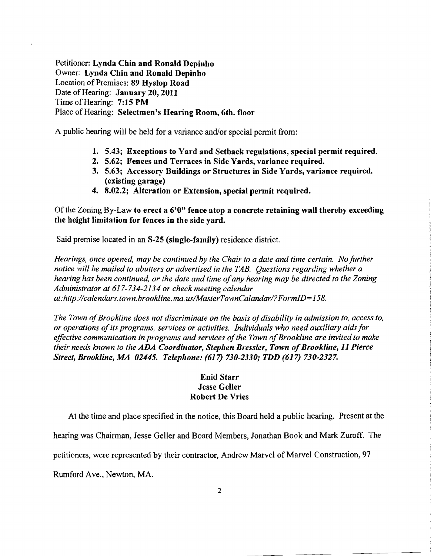Petitioner: Lynda Chin and Ronald Depinho Owner: Lynda Chin and Ronald Depinho Location of Premises: 89 Hyslop Road Date of Hearing: January 20, 2011 Time of Hearing: 7:15 PM Place of Hearing: Selectmen's Hearing Room, 6th. floor

A public hearing will be held for a variance and/or special permit from:

- 1. 5.43; Exceptions to Yard and Setback regulations, special permit required.
- 2. 5.62; Fences and Terraces in Side Yards, variance required.
- 3. 5.63; Accessory Buildings or Structures in Side Yards, variance required. (existing garage)
- 4. 8.02.2; Alteration or Extension, special permit required.

Of the Zoning By-Law to erect a 6'0" fence atop a concrete retaining wall thereby exceeding the height limitation for fences in the side yard.

Said premise located in an S-25 (single-family) residence district.

*Hearings, once opened, may be continued by the Chair to a date and time certain. No further notice will be mailed to abutters or advertised in the TAB. Questions regarding whether a hearing has been continued, or the date and time ofany hearing may be directed to the Zoning Administrator at* 617-734-2134 *or check meeting calendar*  at:http://calendars.town.brookline.ma.us/MasterTownCalandar/?FormID=158.

The Town of Brookline does not discriminate on the basis of disability in admission to, access to, *or operations ofits programs, services or activities. Individuals who need auxiliary aidsfor effective communication in programs and services of the Town of Brookline are invited to make their needs known to the ADA Coordinator, Stephen Bressler, Town of Brookline, 11 Pierce Street, Brookline, MA 02445. Telephone:* (617) *730-2330; TDD* (617) *730-2327.* 

## Enid Starr Jesse Geller Robert De Vries

At the time and place specified in the notice, this Board held a public hearing. Present at the

hearing was Chairman, Jesse Geller and Board Members, Jonathan Book and Mark Zuroff. The

petitioners, were represented by their contractor, Andrew Marvel of Marvel Construction, 97

Rumford Ave., Newton, MA.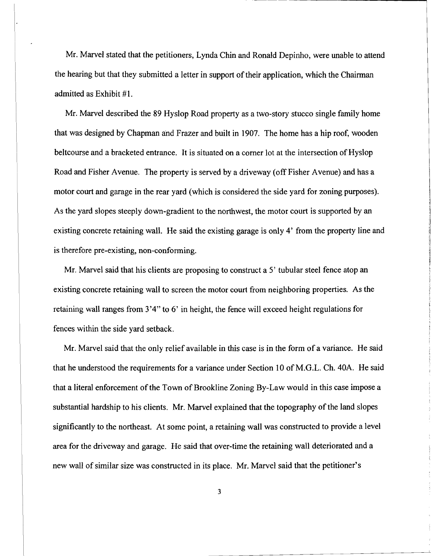Mr. Marvel stated that the petitioners, Lynda Chin and Ronald Depinho, were unable to attend the hearing but that they submitted a letter in support of their application, which the Chairman admitted as Exhibit #1.

-----------------...,

Mr. Marvel described the 89 Hyslop Road property as a two-story stucco single family home that was designed by Chapman and Frazer and built in 1907. The home has a hip roof, wooden beltcourse and a bracketed entrance. It is situated on a corner lot at the intersection of Hyslop Road and Fisher Avenue. The property is served by a driveway (off Fisher Avenue) and has a motor court and garage in the rear yard (which is considered the side yard for zoning purposes). As the yard slopes steeply down-gradient to the northwest, the motor court is supported by an existing concrete retaining wall. He said the existing garage is only 4' from the property line and is therefore pre-existing, non-conforming.

Mr. Marvel said that his clients are proposing to construct a 5' tubular steel fence atop an existing concrete retaining wall to screen the motor court from neighboring properties. As the retaining wall ranges from 3'4" to 6' in height, the fence will exceed height regulations for fences within the side yard setback.

Mr. Marvel said that the only relief available in this case is in the form of a variance. He said that he understood the requirements for a variance under Section 10 of M.G.L. Ch. 40A. He said that a literal enforcement of the Town of Brookline Zoning By-Law would in this case impose a substantial hardship to his clients. Mr. Marvel explained that the topography of the land slopes significantly to the northeast. At some point, a retaining wall was constructed to provide a level area for the driveway and garage. He said that over-time the retaining wall deteriorated and a new wall of similar size was constructed in its place. Mr. Marvel said that the petitioner's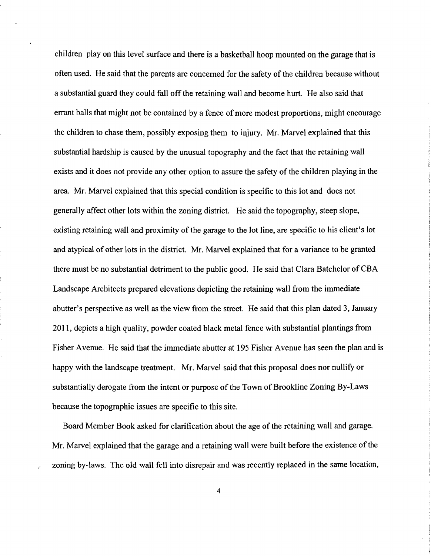children play on this level surface and there is a basketball hoop mounted on the garage that is often used. He said that the parents are concerned for the safety of the children because without a substantial guard they could fall off the retaining wall and become hurt. He also said that errant balls that might not be contained by a fence of more modest proportions, might encourage the children to chase them, possibly exposing them to injury. Mr. Marvel explained that this substantial hardship is caused by the unusual topography and the fact that the retaining wall exists and it does not provide any other option to assure the safety of the children playing in the area. Mr. Marvel explained that this special condition is specific to this lot and does not generally affect other lots within the zoning district. He said the topography, steep slope, existing retaining wall and proximity of the garage to the lot line, are specific to his client's lot and atypical of other lots in the district. Mr. Marvel explained that for a variance to be granted there must be no substantial detriment to the public good. He said that Clara Batchelor of CBA Landscape Architects prepared elevations depicting the retaining wall from the immediate abutter's perspective as well as the view from the street. He said that this plan dated 3, January 2011, depicts a high quality, powder coated black metal fence with substantial plantings from Fisher Avenue. He said that the immediate abutter at 195 Fisher Avenue has seen the plan and is happy with the landscape treatment. Mr. Marvel said that this proposal does nor nullify or substantially derogate from the intent or purpose of the Town of Brookline Zoning By-Laws because the topographic issues are specific to this site.

Board Member Book asked for clarification about the age of the retaining wall and garage. Mr. Marvel explained that the garage and a retaining wall were built before the existence of the zoning by-laws. The old wall fell into disrepair and was recently replaced in the same location,

4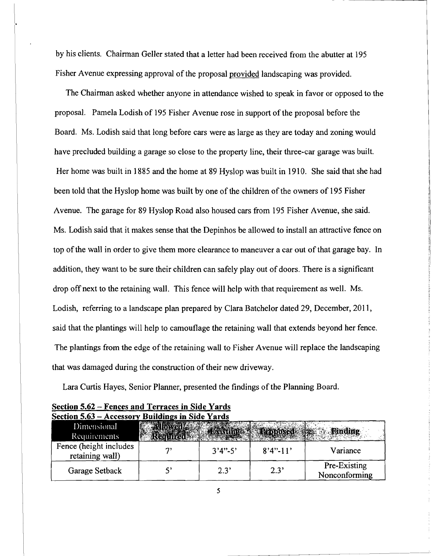by his clients. Chairman Geller stated that a letter had been received from the abutter at 195 Fisher Avenue expressing approval of the proposal provided landscaping was provided.

The Chairman asked whether anyone in attendance wished to speak in favor or opposed to the proposal. Pamela Lodish of 195 Fisher Avenue rose in support of the proposal before the Board. Ms. Lodish said that long before cars were as large as they are today and zoning would have precluded building a garage so close to the property line, their three-car garage was built. Her home was built in 1885 and the home at 89 Hyslop was built in 1910. She said that she had been told that the Hyslop home was built by one of the children of the owners of 195 Fisher Avenue. The garage for 89 Hyslop Road also housed cars from 195 Fisher Avenue, she said. Ms. Lodish said that it makes sense that the Depinhos be allowed to install an attractive fence on top ofthe wall in order to give them more clearance to maneuver a car out of that garage bay. In addition, they want to be sure their children can safely play out of doors. There is a significant drop off next to the retaining wall. This fence will help with that requirement as well. Ms. Lodish, referring to a landscape plan prepared by Clara Batchelor dated 29, December, 2011, said that the plantings will help to camouflage the retaining wall that extends beyond her fence. The plantings from the edge of the retaining wall to Fisher Avenue will replace the landscaping that was damaged during the construction of their new driveway.

Lara Curtis Hayes, Senior Planner, presented the findings of the Planning Board.

| $\beta$ ccuon $\beta$ .05 – Accessory Dunumgs in Sige Targs |            |             |                               |
|-------------------------------------------------------------|------------|-------------|-------------------------------|
| Dimensional<br><b>Requirements</b>                          |            |             | <b>Finding</b>                |
| Fence (height includes<br>retaining wall)                   | $3'4''-5'$ | $8'4''-11'$ | Variance                      |
| Garage Setback                                              | 2.3'       | 2.3"        | Pre-Existing<br>Nonconforming |

|  |  | Section 5.62 – Fences and Terraces in Side Yards |
|--|--|--------------------------------------------------|
|  |  | Section 5.63 – Accessory Buildings in Side Yards |

5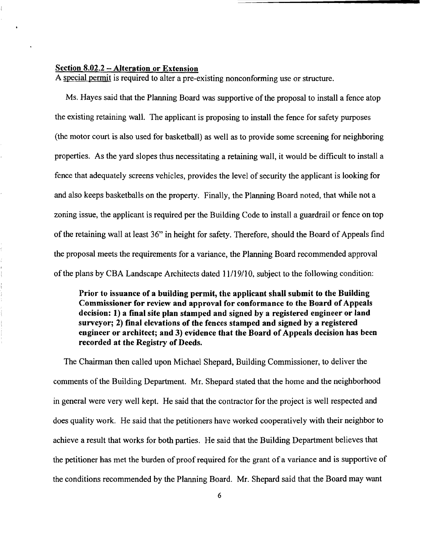## Section  $8.02.2 -$  Alteration or Extension

A special permit is required to alter a pre-existing nonconforming use or structure.

Ms. Hayes said that the Planning Board was supportive of the proposal to install a fence atop the existing retaining wall. The applicant is proposing to install the fence for safety purposes (the motor court is also used for basketball) as well as to provide some screening for neighboring properties. As the yard slopes thus necessitating a retaining wall, it would be difficult to install a fence that adequately screens vehicles, provides the level of security the applicant is looking for and also keeps basketballs on the property. Finally, the Planning Board noted, that while not a zoning issue, the applicant is required per the Building Code to install a guardrail or fence on top of the retaining wall at least 36" in height for safety. Therefore, should the Board of Appeals find the proposal meets the requirements for a variance, the Planning Board recommended approval ofthe plans by CBA Landscape Architects dated 11/19/10, subject to the following condition:

Prior to issuance of a building permit, the applicant shall submit to the Building Commissioner for review and approval for conformance to the Board of Appeals decision: 1) a final site plan stamped and signed by a registered engineer or land surveyor; 2) final elevations of the fences stamped and signed by a registered engineer or architect; and 3) evidence that the Board of Appeals decision has been recorded at the Registry of Deeds.

The Chairman then called upon Michael Shepard, Building Commissioner, to deliver the comments of the Building Department. Mr. Shepard stated that the home and the neighborhood in general were very well kept. He said that the contractor for the project is well respected and does quality work. He said that the petitioners have worked cooperatively with their neighbor to achieve a result that works for both parties. He said that the Building Department believes that the petitioner has met the burden of proof required for the grant of a variance and is supportive of the conditions recommended by the Planning Board. Mr. Shepard said that the Board may want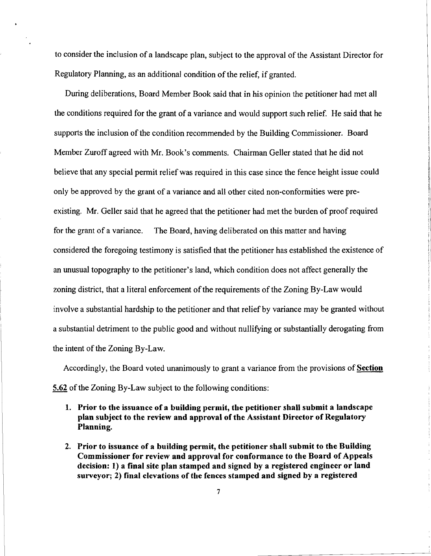to consider the inclusion of a landscape plan, subject to the approval of the Assistant Director for Regulatory Planning, as an additional condition of the relief, if granted.

During deliberations, Board Member Book said that in his opinion the petitioner had met all the conditions required for the grant of a variance and would support such relief. He said that he supports the inclusion of the condition recommended by the Building Commissioner. Board Member Zuroff agreed with Mr. Book's comments. Chairman Geller stated that he did not believe that any special permit relief was required in this case since the fence height issue could only be approved by the grant of a variance and all other cited non-conformities were preexisting. Mr. Geller said that he agreed that the petitioner had met the burden of proof required for the grant of a variance. The Board, having deliberated on this matter and having considered the foregoing testimony is satisfied that the petitioner has established the existence of an unusual topography to the petitioner's land, which condition does not affect generally the zoning district, that a literal enforcement of the requirements of the Zoning By-Law would involve a substantial hardship to the petitioner and that relief by variance may be granted without a substantial detriment to the public good and without nullifying or substantially derogating from the intent of the Zoning By-Law.

Accordingly, the Board voted unanimously to grant a variance from the provisions of Section 5.62 of the Zoning By-Law subject to the following conditions:

- 1. Prior to the issuance of a building permit, the petitioner shall submit a landscape plan subject to the review and approval of the Assistant Director of Regulatory Planning.
- 2. Prior to issuance of a building permit, the petitioner shall submit to the Building Commissioner for review and approval for conformance to the Board of Appeals decision: 1) a final site plan stamped and signed by a registered engineer or land surveyor; 2) final elevations of the fences stamped and signed by a registered